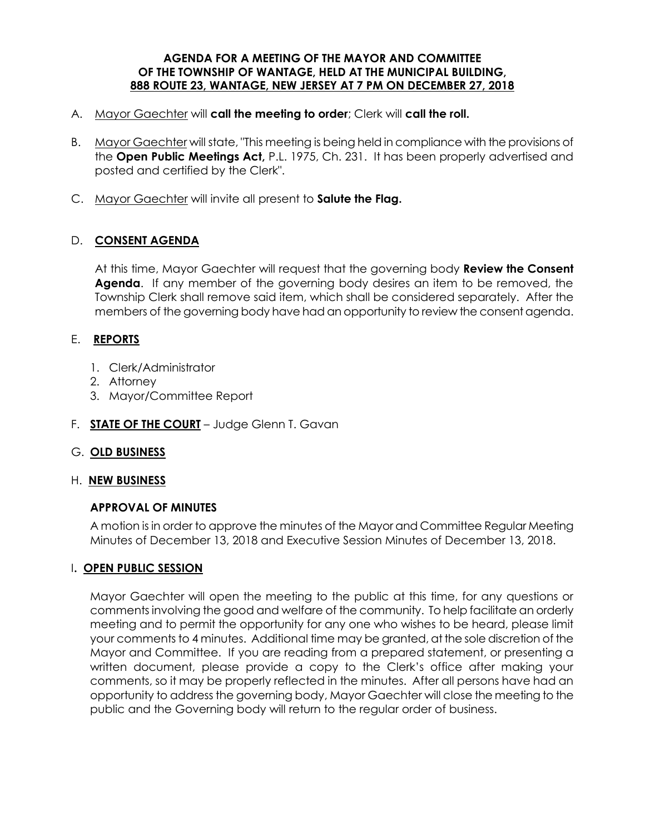#### **AGENDA FOR A MEETING OF THE MAYOR AND COMMITTEE OF THE TOWNSHIP OF WANTAGE, HELD AT THE MUNICIPAL BUILDING, 888 ROUTE 23, WANTAGE, NEW JERSEY AT 7 PM ON DECEMBER 27, 2018**

- A. Mayor Gaechter will **call the meeting to order**; Clerk will **call the roll.**
- B. Mayor Gaechter will state, "This meeting is being held in compliance with the provisions of the **Open Public Meetings Act,** P.L. 1975, Ch. 231. It has been properly advertised and posted and certified by the Clerk".
- C. Mayor Gaechter will invite all present to **Salute the Flag.**

## D. **CONSENT AGENDA**

At this time, Mayor Gaechter will request that the governing body **Review the Consent Agenda**. If any member of the governing body desires an item to be removed, the Township Clerk shall remove said item, which shall be considered separately. After the members of the governing body have had an opportunity to review the consent agenda.

## E. **REPORTS**

- 1. Clerk/Administrator
- 2. Attorney
- 3. Mayor/Committee Report
- F. **STATE OF THE COURT** Judge Glenn T. Gavan

### G. **OLD BUSINESS**

### H. **NEW BUSINESS**

### **APPROVAL OF MINUTES**

 A motion is in order to approve the minutes of the Mayor and Committee Regular Meeting Minutes of December 13, 2018 and Executive Session Minutes of December 13, 2018.

### I**. OPEN PUBLIC SESSION**

Mayor Gaechter will open the meeting to the public at this time, for any questions or comments involving the good and welfare of the community. To help facilitate an orderly meeting and to permit the opportunity for any one who wishes to be heard, please limit your comments to 4 minutes. Additional time may be granted, at the sole discretion of the Mayor and Committee. If you are reading from a prepared statement, or presenting a written document, please provide a copy to the Clerk's office after making your comments, so it may be properly reflected in the minutes. After all persons have had an opportunity to address the governing body, Mayor Gaechter will close the meeting to the public and the Governing body will return to the regular order of business.